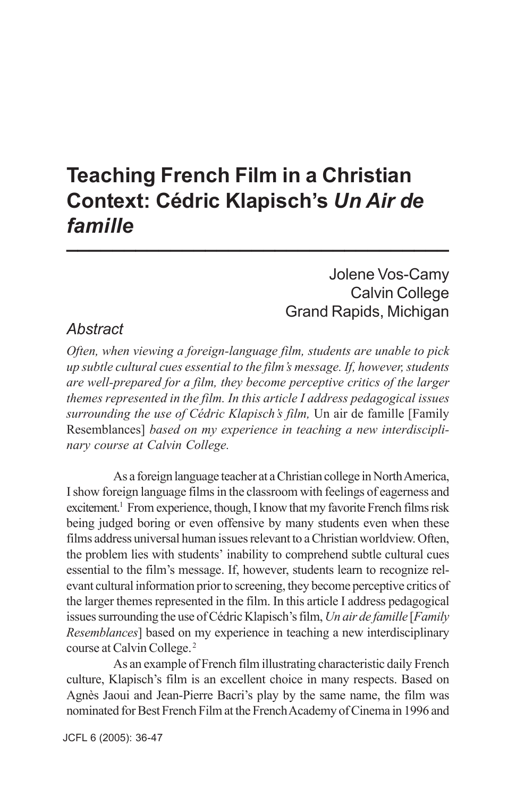# **Teaching French Film in a Christian Context: Cédric Klapisch's** *Un Air de famille* **\_\_\_\_\_\_\_\_\_\_\_\_\_\_\_\_\_\_\_\_\_\_\_\_\_\_\_\_\_\_\_\_\_**

### Jolene Vos-Camy Calvin College Grand Rapids, Michigan

#### *Abstract*

*Often, when viewing a foreign-language film, students are unable to pick up subtle cultural cues essential to the film's message. If, however, students are well-prepared for a film, they become perceptive critics of the larger themes represented in the film. In this article I address pedagogical issues surrounding the use of Cédric Klapisch's film,* Un air de famille [Family Resemblances] *based on my experience in teaching a new interdisciplinary course at Calvin College.*

As a foreign language teacher at a Christian college in North America, I show foreign language films in the classroom with feelings of eagerness and excitement.<sup>1</sup> From experience, though, I know that my favorite French films risk being judged boring or even offensive by many students even when these films address universal human issues relevant to a Christian worldview. Often, the problem lies with students' inability to comprehend subtle cultural cues essential to the film's message. If, however, students learn to recognize relevant cultural information prior to screening, they become perceptive critics of the larger themes represented in the film. In this article I address pedagogical issues surrounding the use of Cédric Klapisch's film, *Un air de famille* [*Family Resemblances*] based on my experience in teaching a new interdisciplinary course at Calvin College. 2

As an example of French film illustrating characteristic daily French culture, Klapisch's film is an excellent choice in many respects. Based on Agnès Jaoui and Jean-Pierre Bacri's play by the same name, the film was nominated for Best French Film at the French Academy of Cinema in 1996 and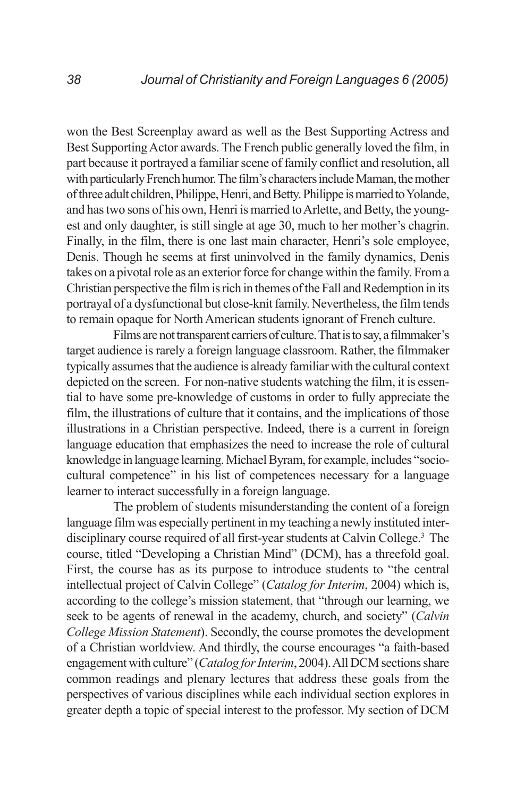won the Best Screenplay award as well as the Best Supporting Actress and Best Supporting Actor awards. The French public generally loved the film, in part because it portrayed a familiar scene of family conflict and resolution, all with particularly French humor. The film's characters include Maman, the mother of three adult children, Philippe, Henri, and Betty. Philippe is married to Yolande, and has two sons of his own, Henri is married to Arlette, and Betty, the youngest and only daughter, is still single at age 30, much to her mother's chagrin. Finally, in the film, there is one last main character, Henri's sole employee, Denis. Though he seems at first uninvolved in the family dynamics, Denis takes on a pivotal role as an exterior force for change within the family. From a Christian perspective the film is rich in themes of the Fall and Redemption in its portrayal of a dysfunctional but close-knit family. Nevertheless, the film tends to remain opaque for North American students ignorant of French culture.

Films are not transparent carriers of culture. That is to say, a filmmaker's target audience is rarely a foreign language classroom. Rather, the filmmaker typically assumes that the audience is already familiar with the cultural context depicted on the screen. For non-native students watching the film, it is essential to have some pre-knowledge of customs in order to fully appreciate the film, the illustrations of culture that it contains, and the implications of those illustrations in a Christian perspective. Indeed, there is a current in foreign language education that emphasizes the need to increase the role of cultural knowledge in language learning. Michael Byram, for example, includes "sociocultural competence" in his list of competences necessary for a language learner to interact successfully in a foreign language.

The problem of students misunderstanding the content of a foreign language film was especially pertinent in my teaching a newly instituted interdisciplinary course required of all first-year students at Calvin College.<sup>3</sup> The course, titled "Developing a Christian Mind" (DCM), has a threefold goal. First, the course has as its purpose to introduce students to "the central intellectual project of Calvin College" (*Catalog for Interim*, 2004) which is, according to the college's mission statement, that "through our learning, we seek to be agents of renewal in the academy, church, and society" (*Calvin College Mission Statement*). Secondly, the course promotes the development of a Christian worldview. And thirdly, the course encourages "a faith-based engagement with culture" (*Catalog for Interim*, 2004). All DCM sections share common readings and plenary lectures that address these goals from the perspectives of various disciplines while each individual section explores in greater depth a topic of special interest to the professor. My section of DCM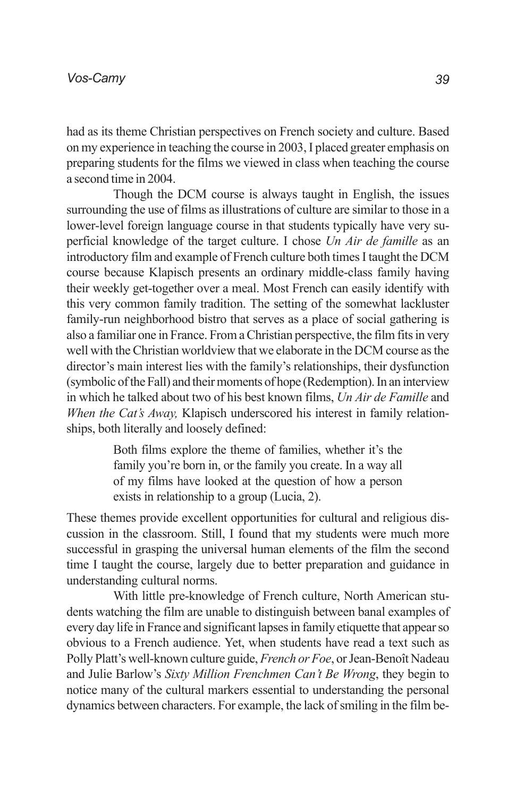had as its theme Christian perspectives on French society and culture. Based on my experience in teaching the course in 2003, I placed greater emphasis on preparing students for the films we viewed in class when teaching the course a second time in 2004.

Though the DCM course is always taught in English, the issues surrounding the use of films as illustrations of culture are similar to those in a lower-level foreign language course in that students typically have very superficial knowledge of the target culture. I chose *Un Air de famille* as an introductory film and example of French culture both times I taught the DCM course because Klapisch presents an ordinary middle-class family having their weekly get-together over a meal. Most French can easily identify with this very common family tradition. The setting of the somewhat lackluster family-run neighborhood bistro that serves as a place of social gathering is also a familiar one in France. From a Christian perspective, the film fits in very well with the Christian worldview that we elaborate in the DCM course as the director's main interest lies with the family's relationships, their dysfunction (symbolic of the Fall) and their moments of hope (Redemption). In an interview in which he talked about two of his best known films, *Un Air de Famille* and *When the Cat's Away,* Klapisch underscored his interest in family relationships, both literally and loosely defined:

> Both films explore the theme of families, whether it's the family you're born in, or the family you create. In a way all of my films have looked at the question of how a person exists in relationship to a group (Lucia, 2).

These themes provide excellent opportunities for cultural and religious discussion in the classroom. Still, I found that my students were much more successful in grasping the universal human elements of the film the second time I taught the course, largely due to better preparation and guidance in understanding cultural norms.

With little pre-knowledge of French culture, North American students watching the film are unable to distinguish between banal examples of every day life in France and significant lapses in family etiquette that appear so obvious to a French audience. Yet, when students have read a text such as Polly Platt's well-known culture guide, *French or Foe*, or Jean-Benoît Nadeau and Julie Barlow's *Sixty Million Frenchmen Can't Be Wrong*, they begin to notice many of the cultural markers essential to understanding the personal dynamics between characters. For example, the lack of smiling in the film be-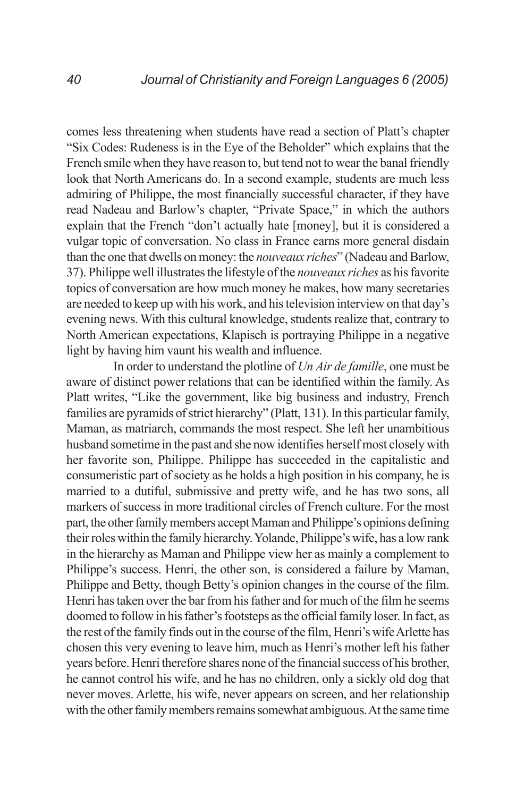comes less threatening when students have read a section of Platt's chapter "Six Codes: Rudeness is in the Eye of the Beholder" which explains that the French smile when they have reason to, but tend not to wear the banal friendly look that North Americans do. In a second example, students are much less admiring of Philippe, the most financially successful character, if they have read Nadeau and Barlow's chapter, "Private Space," in which the authors explain that the French "don't actually hate [money], but it is considered a vulgar topic of conversation. No class in France earns more general disdain than the one that dwells on money: the *nouveaux riches*" (Nadeau and Barlow, 37). Philippe well illustrates the lifestyle of the *nouveaux riches* as his favorite topics of conversation are how much money he makes, how many secretaries are needed to keep up with his work, and his television interview on that day's evening news. With this cultural knowledge, students realize that, contrary to North American expectations, Klapisch is portraying Philippe in a negative light by having him vaunt his wealth and influence.

In order to understand the plotline of *Un Air de famille*, one must be aware of distinct power relations that can be identified within the family. As Platt writes, "Like the government, like big business and industry, French families are pyramids of strict hierarchy" (Platt, 131). In this particular family, Maman, as matriarch, commands the most respect. She left her unambitious husband sometime in the past and she now identifies herself most closely with her favorite son, Philippe. Philippe has succeeded in the capitalistic and consumeristic part of society as he holds a high position in his company, he is married to a dutiful, submissive and pretty wife, and he has two sons, all markers of success in more traditional circles of French culture. For the most part, the other family members accept Maman and Philippe's opinions defining their roles within the family hierarchy. Yolande, Philippe's wife, has a low rank in the hierarchy as Maman and Philippe view her as mainly a complement to Philippe's success. Henri, the other son, is considered a failure by Maman, Philippe and Betty, though Betty's opinion changes in the course of the film. Henri has taken over the bar from his father and for much of the film he seems doomed to follow in his father's footsteps as the official family loser. In fact, as the rest of the family finds out in the course of the film, Henri's wife Arlette has chosen this very evening to leave him, much as Henri's mother left his father years before. Henri therefore shares none of the financial success of his brother, he cannot control his wife, and he has no children, only a sickly old dog that never moves. Arlette, his wife, never appears on screen, and her relationship with the other family members remains somewhat ambiguous. At the same time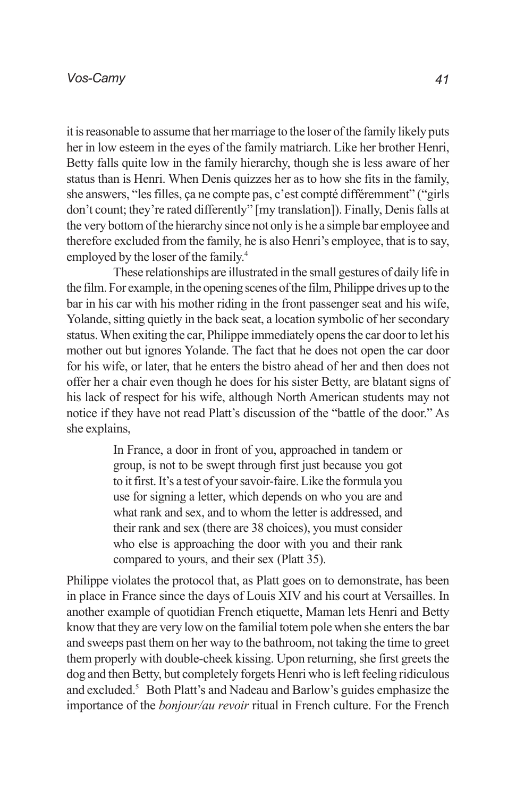it is reasonable to assume that her marriage to the loser of the family likely puts her in low esteem in the eyes of the family matriarch. Like her brother Henri, Betty falls quite low in the family hierarchy, though she is less aware of her status than is Henri. When Denis quizzes her as to how she fits in the family, she answers, "les filles, ça ne compte pas, c'est compté différemment" ("girls don't count; they're rated differently" [my translation]). Finally, Denis falls at the very bottom of the hierarchy since not only is he a simple bar employee and therefore excluded from the family, he is also Henri's employee, that is to say, employed by the loser of the family.4

These relationships are illustrated in the small gestures of daily life in the film. For example, in the opening scenes of the film, Philippe drives up to the bar in his car with his mother riding in the front passenger seat and his wife, Yolande, sitting quietly in the back seat, a location symbolic of her secondary status. When exiting the car, Philippe immediately opens the car door to let his mother out but ignores Yolande. The fact that he does not open the car door for his wife, or later, that he enters the bistro ahead of her and then does not offer her a chair even though he does for his sister Betty, are blatant signs of his lack of respect for his wife, although North American students may not notice if they have not read Platt's discussion of the "battle of the door." As she explains,

> In France, a door in front of you, approached in tandem or group, is not to be swept through first just because you got to it first. It's a test of your savoir-faire. Like the formula you use for signing a letter, which depends on who you are and what rank and sex, and to whom the letter is addressed, and their rank and sex (there are 38 choices), you must consider who else is approaching the door with you and their rank compared to yours, and their sex (Platt 35).

Philippe violates the protocol that, as Platt goes on to demonstrate, has been in place in France since the days of Louis XIV and his court at Versailles. In another example of quotidian French etiquette, Maman lets Henri and Betty know that they are very low on the familial totem pole when she enters the bar and sweeps past them on her way to the bathroom, not taking the time to greet them properly with double-cheek kissing. Upon returning, she first greets the dog and then Betty, but completely forgets Henri who is left feeling ridiculous and excluded.5 Both Platt's and Nadeau and Barlow's guides emphasize the importance of the *bonjour/au revoir* ritual in French culture. For the French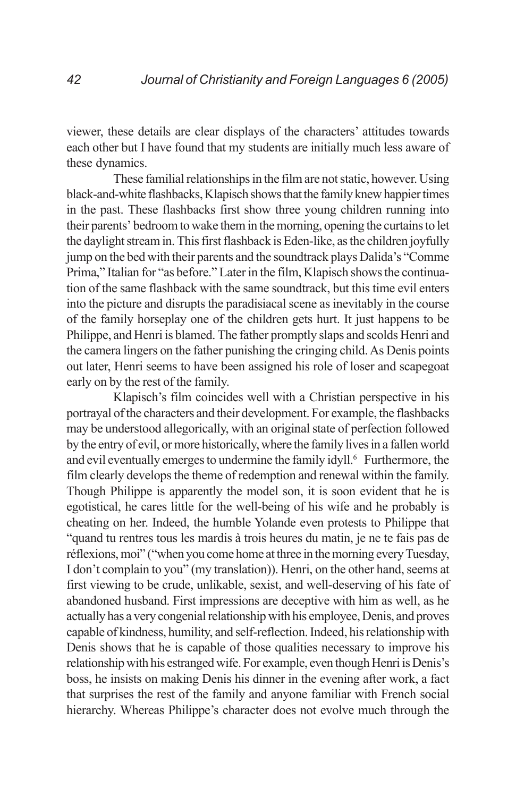viewer, these details are clear displays of the characters' attitudes towards each other but I have found that my students are initially much less aware of these dynamics.

These familial relationships in the film are not static, however. Using black-and-white flashbacks, Klapisch shows that the family knew happier times in the past. These flashbacks first show three young children running into their parents' bedroom to wake them in the morning, opening the curtains to let the daylight stream in. This first flashback is Eden-like, as the children joyfully jump on the bed with their parents and the soundtrack plays Dalida's "Comme Prima," Italian for "as before." Later in the film, Klapisch shows the continuation of the same flashback with the same soundtrack, but this time evil enters into the picture and disrupts the paradisiacal scene as inevitably in the course of the family horseplay one of the children gets hurt. It just happens to be Philippe, and Henri is blamed. The father promptly slaps and scolds Henri and the camera lingers on the father punishing the cringing child. As Denis points out later, Henri seems to have been assigned his role of loser and scapegoat early on by the rest of the family.

Klapisch's film coincides well with a Christian perspective in his portrayal of the characters and their development. For example, the flashbacks may be understood allegorically, with an original state of perfection followed by the entry of evil, or more historically, where the family lives in a fallen world and evil eventually emerges to undermine the family idyll.<sup>6</sup> Furthermore, the film clearly develops the theme of redemption and renewal within the family. Though Philippe is apparently the model son, it is soon evident that he is egotistical, he cares little for the well-being of his wife and he probably is cheating on her. Indeed, the humble Yolande even protests to Philippe that "quand tu rentres tous les mardis à trois heures du matin, je ne te fais pas de réflexions, moi" ("when you come home at three in the morning every Tuesday, I don't complain to you" (my translation)). Henri, on the other hand, seems at first viewing to be crude, unlikable, sexist, and well-deserving of his fate of abandoned husband. First impressions are deceptive with him as well, as he actually has a very congenial relationship with his employee, Denis, and proves capable of kindness, humility, and self-reflection. Indeed, his relationship with Denis shows that he is capable of those qualities necessary to improve his relationship with his estranged wife. For example, even though Henri is Denis's boss, he insists on making Denis his dinner in the evening after work, a fact that surprises the rest of the family and anyone familiar with French social hierarchy. Whereas Philippe's character does not evolve much through the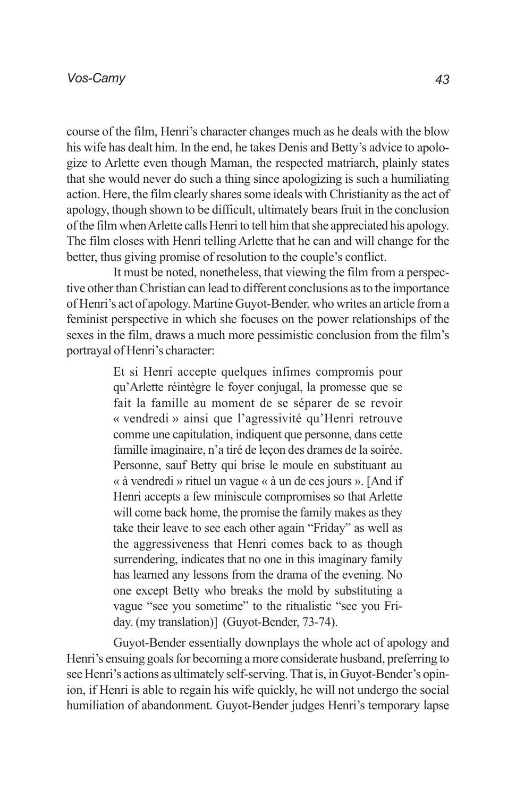course of the film, Henri's character changes much as he deals with the blow his wife has dealt him. In the end, he takes Denis and Betty's advice to apologize to Arlette even though Maman, the respected matriarch, plainly states that she would never do such a thing since apologizing is such a humiliating action. Here, the film clearly shares some ideals with Christianity as the act of apology, though shown to be difficult, ultimately bears fruit in the conclusion of the film when Arlette calls Henri to tell him that she appreciated his apology. The film closes with Henri telling Arlette that he can and will change for the better, thus giving promise of resolution to the couple's conflict.

It must be noted, nonetheless, that viewing the film from a perspective other than Christian can lead to different conclusions as to the importance of Henri's act of apology. Martine Guyot-Bender, who writes an article from a feminist perspective in which she focuses on the power relationships of the sexes in the film, draws a much more pessimistic conclusion from the film's portrayal of Henri's character:

> Et si Henri accepte quelques infimes compromis pour qu'Arlette réintègre le foyer conjugal, la promesse que se fait la famille au moment de se séparer de se revoir « vendredi » ainsi que l'agressivité qu'Henri retrouve comme une capitulation, indiquent que personne, dans cette famille imaginaire, n'a tiré de leçon des drames de la soirée. Personne, sauf Betty qui brise le moule en substituant au « à vendredi » rituel un vague « à un de ces jours ». [And if Henri accepts a few miniscule compromises so that Arlette will come back home, the promise the family makes as they take their leave to see each other again "Friday" as well as the aggressiveness that Henri comes back to as though surrendering, indicates that no one in this imaginary family has learned any lessons from the drama of the evening. No one except Betty who breaks the mold by substituting a vague "see you sometime" to the ritualistic "see you Friday. (my translation)] (Guyot-Bender, 73-74).

Guyot-Bender essentially downplays the whole act of apology and Henri's ensuing goals for becoming a more considerate husband, preferring to see Henri's actions as ultimately self-serving. That is, in Guyot-Bender's opinion, if Henri is able to regain his wife quickly, he will not undergo the social humiliation of abandonment. Guyot-Bender judges Henri's temporary lapse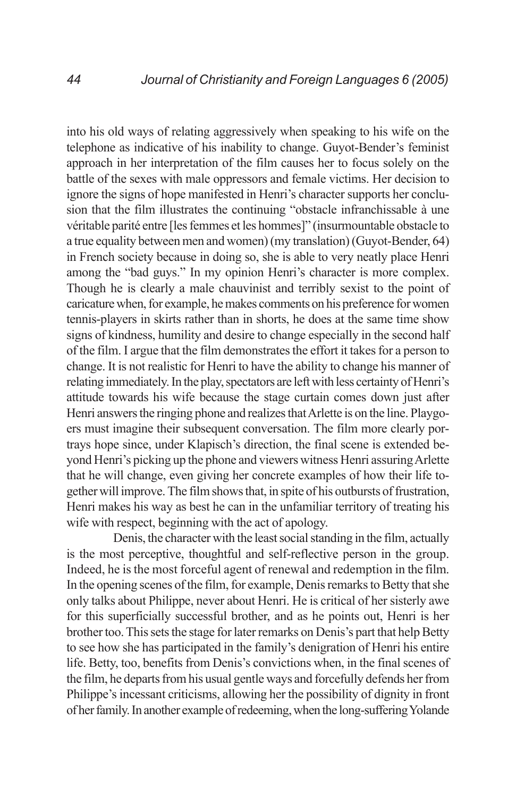into his old ways of relating aggressively when speaking to his wife on the telephone as indicative of his inability to change. Guyot-Bender's feminist approach in her interpretation of the film causes her to focus solely on the battle of the sexes with male oppressors and female victims. Her decision to ignore the signs of hope manifested in Henri's character supports her conclusion that the film illustrates the continuing "obstacle infranchissable à une véritable parité entre [les femmes et les hommes]" (insurmountable obstacle to a true equality between men and women) (my translation) (Guyot-Bender, 64) in French society because in doing so, she is able to very neatly place Henri among the "bad guys." In my opinion Henri's character is more complex. Though he is clearly a male chauvinist and terribly sexist to the point of caricature when, for example, he makes comments on his preference for women tennis-players in skirts rather than in shorts, he does at the same time show signs of kindness, humility and desire to change especially in the second half of the film. I argue that the film demonstrates the effort it takes for a person to change. It is not realistic for Henri to have the ability to change his manner of relating immediately. In the play, spectators are left with less certainty of Henri's attitude towards his wife because the stage curtain comes down just after Henri answers the ringing phone and realizes that Arlette is on the line. Playgoers must imagine their subsequent conversation. The film more clearly portrays hope since, under Klapisch's direction, the final scene is extended beyond Henri's picking up the phone and viewers witness Henri assuring Arlette that he will change, even giving her concrete examples of how their life together will improve. The film shows that, in spite of his outbursts of frustration, Henri makes his way as best he can in the unfamiliar territory of treating his wife with respect, beginning with the act of apology.

Denis, the character with the least social standing in the film, actually is the most perceptive, thoughtful and self-reflective person in the group. Indeed, he is the most forceful agent of renewal and redemption in the film. In the opening scenes of the film, for example, Denis remarks to Betty that she only talks about Philippe, never about Henri. He is critical of her sisterly awe for this superficially successful brother, and as he points out, Henri is her brother too. This sets the stage for later remarks on Denis's part that help Betty to see how she has participated in the family's denigration of Henri his entire life. Betty, too, benefits from Denis's convictions when, in the final scenes of the film, he departs from his usual gentle ways and forcefully defends her from Philippe's incessant criticisms, allowing her the possibility of dignity in front of her family. In another example of redeeming, when the long-suffering Yolande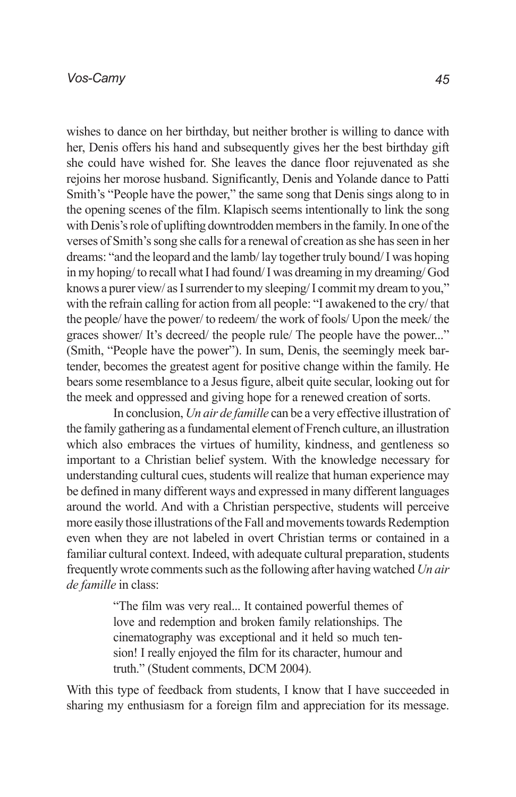wishes to dance on her birthday, but neither brother is willing to dance with her, Denis offers his hand and subsequently gives her the best birthday gift she could have wished for. She leaves the dance floor rejuvenated as she rejoins her morose husband. Significantly, Denis and Yolande dance to Patti Smith's "People have the power," the same song that Denis sings along to in the opening scenes of the film. Klapisch seems intentionally to link the song with Denis's role of uplifting downtrodden members in the family. In one of the verses of Smith's song she calls for a renewal of creation as she has seen in her dreams: "and the leopard and the lamb/ lay together truly bound/ I was hoping in my hoping/ to recall what I had found/ I was dreaming in my dreaming/ God knows a purer view/ as I surrender to my sleeping/ I commit my dream to you," with the refrain calling for action from all people: "I awakened to the cry/ that the people/ have the power/ to redeem/ the work of fools/ Upon the meek/ the graces shower/ It's decreed/ the people rule/ The people have the power..." (Smith, "People have the power"). In sum, Denis, the seemingly meek bartender, becomes the greatest agent for positive change within the family. He bears some resemblance to a Jesus figure, albeit quite secular, looking out for the meek and oppressed and giving hope for a renewed creation of sorts.

In conclusion, *Un air de famille* can be a very effective illustration of the family gathering as a fundamental element of French culture, an illustration which also embraces the virtues of humility, kindness, and gentleness so important to a Christian belief system. With the knowledge necessary for understanding cultural cues, students will realize that human experience may be defined in many different ways and expressed in many different languages around the world. And with a Christian perspective, students will perceive more easily those illustrations of the Fall and movements towards Redemption even when they are not labeled in overt Christian terms or contained in a familiar cultural context. Indeed, with adequate cultural preparation, students frequently wrote comments such as the following after having watched *Un air de famille* in class:

> "The film was very real... It contained powerful themes of love and redemption and broken family relationships. The cinematography was exceptional and it held so much tension! I really enjoyed the film for its character, humour and truth." (Student comments, DCM 2004).

With this type of feedback from students, I know that I have succeeded in sharing my enthusiasm for a foreign film and appreciation for its message.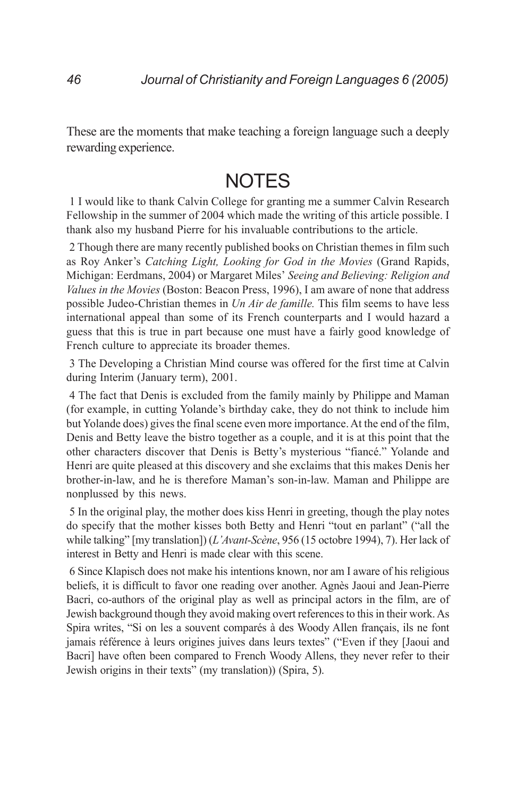These are the moments that make teaching a foreign language such a deeply rewarding experience.

## **NOTES**

1 I would like to thank Calvin College for granting me a summer Calvin Research Fellowship in the summer of 2004 which made the writing of this article possible. I thank also my husband Pierre for his invaluable contributions to the article.

2 Though there are many recently published books on Christian themes in film such as Roy Anker's *Catching Light, Looking for God in the Movies* (Grand Rapids, Michigan: Eerdmans, 2004) or Margaret Miles' *Seeing and Believing: Religion and Values in the Movies* (Boston: Beacon Press, 1996), I am aware of none that address possible Judeo-Christian themes in *Un Air de famille.* This film seems to have less international appeal than some of its French counterparts and I would hazard a guess that this is true in part because one must have a fairly good knowledge of French culture to appreciate its broader themes.

3 The Developing a Christian Mind course was offered for the first time at Calvin during Interim (January term), 2001.

4 The fact that Denis is excluded from the family mainly by Philippe and Maman (for example, in cutting Yolande's birthday cake, they do not think to include him but Yolande does) gives the final scene even more importance. At the end of the film, Denis and Betty leave the bistro together as a couple, and it is at this point that the other characters discover that Denis is Betty's mysterious "fiancé." Yolande and Henri are quite pleased at this discovery and she exclaims that this makes Denis her brother-in-law, and he is therefore Maman's son-in-law. Maman and Philippe are nonplussed by this news.

5 In the original play, the mother does kiss Henri in greeting, though the play notes do specify that the mother kisses both Betty and Henri "tout en parlant" ("all the while talking" [my translation]) (*L'Avant-Scène*, 956 (15 octobre 1994), 7). Her lack of interest in Betty and Henri is made clear with this scene.

6 Since Klapisch does not make his intentions known, nor am I aware of his religious beliefs, it is difficult to favor one reading over another. Agnès Jaoui and Jean-Pierre Bacri, co-authors of the original play as well as principal actors in the film, are of Jewish background though they avoid making overt references to this in their work. As Spira writes, "Si on les a souvent comparés à des Woody Allen français, ils ne font jamais référence à leurs origines juives dans leurs textes" ("Even if they [Jaoui and Bacri] have often been compared to French Woody Allens, they never refer to their Jewish origins in their texts" (my translation)) (Spira, 5).